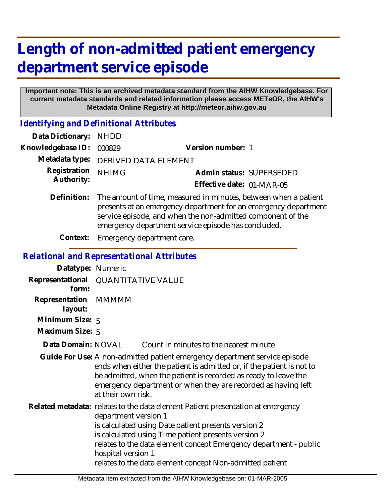## **Length of non-admitted patient emergency department service episode**

## **Important note: This is an archived metadata standard from the AIHW Knowledgebase. For current metadata standards and related information please access METeOR, the AIHW's Metadata Online Registry at http://meteor.aihw.gov.au**

*Identifying and Definitional Attributes*

| Data Dictionary: NHDD            |                                                                                                                                                |                           |                          |
|----------------------------------|------------------------------------------------------------------------------------------------------------------------------------------------|---------------------------|--------------------------|
| Knowledgebase ID: 000829         |                                                                                                                                                | Version number: 1         |                          |
|                                  | Metadata type: DERIVED DATA ELEMENT                                                                                                            |                           |                          |
| Registration NHIMG<br>Authority: |                                                                                                                                                |                           | Admin status: SUPERSEDED |
|                                  |                                                                                                                                                | Effective date: 01-MAR-05 |                          |
|                                  | Definition: The amount of time, measured in minutes, between when a patient<br>procents at an emergency department for an emergency department |                           |                          |

- presents at an emergency department for an emergency department service episode, and when the non-admitted component of the emergency department service episode has concluded.
- **Context:** Emergency department care.

## *Relational and Representational Attributes*

| Datatype: Numeric               |                                                                                                                                                                                                                                                                                                                                                                              |                                        |  |
|---------------------------------|------------------------------------------------------------------------------------------------------------------------------------------------------------------------------------------------------------------------------------------------------------------------------------------------------------------------------------------------------------------------------|----------------------------------------|--|
| Representational<br>form:       | <b>QUANTITATIVE VALUE</b>                                                                                                                                                                                                                                                                                                                                                    |                                        |  |
| Representation MMMMM<br>layout: |                                                                                                                                                                                                                                                                                                                                                                              |                                        |  |
| Minimum Size: 5                 |                                                                                                                                                                                                                                                                                                                                                                              |                                        |  |
| Maximum Size: 5                 |                                                                                                                                                                                                                                                                                                                                                                              |                                        |  |
| Data Domain: NOVAL              |                                                                                                                                                                                                                                                                                                                                                                              | Count in minutes to the nearest minute |  |
|                                 | Guide For Use: A non-admitted patient emergency department service episode<br>ends when either the patient is admitted or, if the patient is not to<br>be admitted, when the patient is recorded as ready to leave the<br>emergency department or when they are recorded as having left<br>at their own risk.                                                                |                                        |  |
|                                 | Related metadata: relates to the data element Patient presentation at emergency<br>department version 1<br>is calculated using Date patient presents version 2<br>is calculated using Time patient presents version 2<br>relates to the data element concept Emergency department - public<br>hospital version 1<br>relates to the data element concept Non-admitted patient |                                        |  |